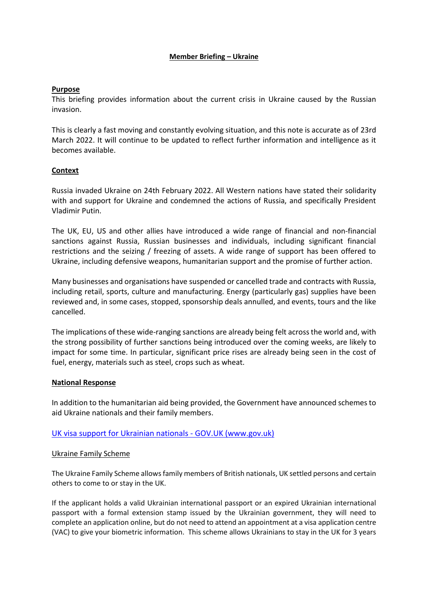## **Member Briefing – Ukraine**

## **Purpose**

This briefing provides information about the current crisis in Ukraine caused by the Russian invasion.

This is clearly a fast moving and constantly evolving situation, and this note is accurate as of 23rd March 2022. It will continue to be updated to reflect further information and intelligence as it becomes available.

## **Context**

Russia invaded Ukraine on 24th February 2022. All Western nations have stated their solidarity with and support for Ukraine and condemned the actions of Russia, and specifically President Vladimir Putin.

The UK, EU, US and other allies have introduced a wide range of financial and non-financial sanctions against Russia, Russian businesses and individuals, including significant financial restrictions and the seizing / freezing of assets. A wide range of support has been offered to Ukraine, including defensive weapons, humanitarian support and the promise of further action.

Many businesses and organisations have suspended or cancelled trade and contracts with Russia, including retail, sports, culture and manufacturing. Energy (particularly gas) supplies have been reviewed and, in some cases, stopped, sponsorship deals annulled, and events, tours and the like cancelled.

The implications of these wide-ranging sanctions are already being felt across the world and, with the strong possibility of further sanctions being introduced over the coming weeks, are likely to impact for some time. In particular, significant price rises are already being seen in the cost of fuel, energy, materials such as steel, crops such as wheat.

### **National Response**

In addition to the humanitarian aid being provided, the Government have announced schemes to aid Ukraine nationals and their family members.

# [UK visa support for Ukrainian nationals -](https://www.gov.uk/guidance/support-for-family-members-of-british-nationals-in-ukraine-and-ukrainian-nationals-in-ukraine-and-the-uk) GOV.UK (www.gov.uk)

### Ukraine Family Scheme

The Ukraine Family Scheme allows family members of British nationals, UK settled persons and certain others to come to or stay in the UK.

If the applicant holds a valid Ukrainian international passport or an expired Ukrainian international passport with a formal extension stamp issued by the Ukrainian government, they will need to complete an application online, but do not need to attend an appointment at a visa application centre (VAC) to give your biometric information. This scheme allows Ukrainians to stay in the UK for 3 years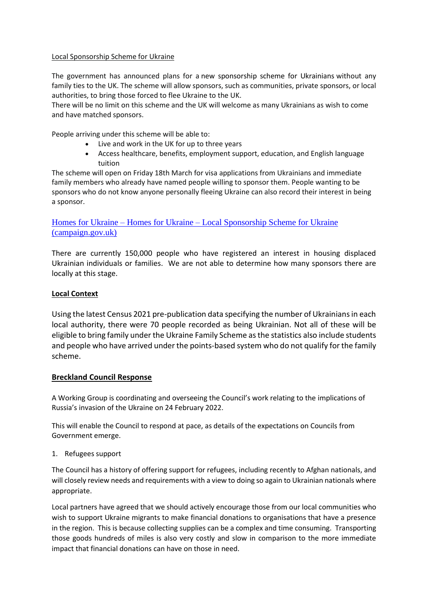## Local Sponsorship Scheme for Ukraine

The government has announced plans for a new sponsorship scheme for Ukrainians without any family ties to the UK. The scheme will allow sponsors, such as communities, private sponsors, or local authorities, to bring those forced to flee Ukraine to the UK.

There will be no limit on this scheme and the UK will welcome as many Ukrainians as wish to come and have matched sponsors.

People arriving under this scheme will be able to:

- Live and work in the UK for up to three years
- Access healthcare, benefits, employment support, education, and English language tuition

The scheme will open on Friday 18th March for visa applications from Ukrainians and immediate family members who already have named people willing to sponsor them. People wanting to be sponsors who do not know anyone personally fleeing Ukraine can also record their interest in being a sponsor.

# Homes for Ukraine – Homes for Ukraine – [Local Sponsorship Scheme for Ukraine](https://homesforukraine.campaign.gov.uk/)  [\(campaign.gov.uk\)](https://homesforukraine.campaign.gov.uk/)

There are currently 150,000 people who have registered an interest in housing displaced Ukrainian individuals or families. We are not able to determine how many sponsors there are locally at this stage.

# **Local Context**

Using the latest Census 2021 pre-publication data specifying the number of Ukrainians in each local authority, there were 70 people recorded as being Ukrainian. Not all of these will be eligible to bring family under the Ukraine Family Scheme as the statistics also include students and people who have arrived under the points-based system who do not qualify for the family scheme.

### **Breckland Council Response**

A Working Group is coordinating and overseeing the Council's work relating to the implications of Russia's invasion of the Ukraine on 24 February 2022.

This will enable the Council to respond at pace, as details of the expectations on Councils from Government emerge.

### 1. Refugees support

The Council has a history of offering support for refugees, including recently to Afghan nationals, and will closely review needs and requirements with a view to doing so again to Ukrainian nationals where appropriate.

Local partners have agreed that we should actively encourage those from our local communities who wish to support Ukraine migrants to make financial donations to organisations that have a presence in the region. This is because collecting supplies can be a complex and time consuming. Transporting those goods hundreds of miles is also very costly and slow in comparison to the more immediate impact that financial donations can have on those in need.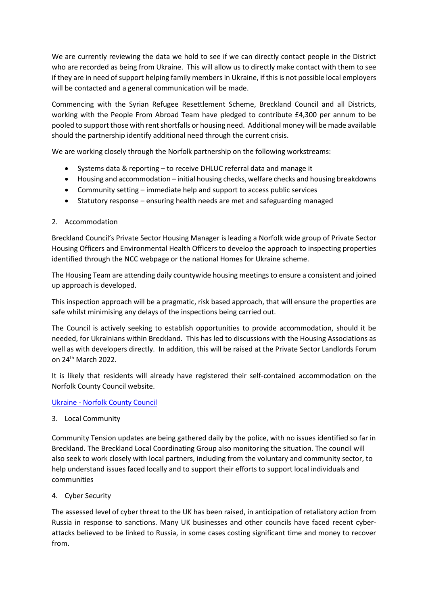We are currently reviewing the data we hold to see if we can directly contact people in the District who are recorded as being from Ukraine. This will allow us to directly make contact with them to see if they are in need of support helping family members in Ukraine, if this is not possible local employers will be contacted and a general communication will be made.

Commencing with the Syrian Refugee Resettlement Scheme, Breckland Council and all Districts, working with the People From Abroad Team have pledged to contribute £4,300 per annum to be pooled to support those with rent shortfalls or housing need. Additional money will be made available should the partnership identify additional need through the current crisis.

We are working closely through the Norfolk partnership on the following workstreams:

- Systems data & reporting to receive DHLUC referral data and manage it
- Housing and accommodation initial housing checks, welfare checks and housing breakdowns
- Community setting immediate help and support to access public services
- Statutory response ensuring health needs are met and safeguarding managed

# 2. Accommodation

Breckland Council's Private Sector Housing Manager is leading a Norfolk wide group of Private Sector Housing Officers and Environmental Health Officers to develop the approach to inspecting properties identified through the NCC webpage or the national Homes for Ukraine scheme.

The Housing Team are attending daily countywide housing meetings to ensure a consistent and joined up approach is developed.

This inspection approach will be a pragmatic, risk based approach, that will ensure the properties are safe whilst minimising any delays of the inspections being carried out.

The Council is actively seeking to establish opportunities to provide accommodation, should it be needed, for Ukrainians within Breckland. This has led to discussions with the Housing Associations as well as with developers directly. In addition, this will be raised at the Private Sector Landlords Forum on 24th March 2022.

It is likely that residents will already have registered their self-contained accommodation on the Norfolk County Council website.

# Ukraine - [Norfolk County Council](https://www.norfolk.gov.uk/safety/migrants-refugees-and-asylum-seekers/ukraine)

3. Local Community

Community Tension updates are being gathered daily by the police, with no issues identified so far in Breckland. The Breckland Local Coordinating Group also monitoring the situation. The council will also seek to work closely with local partners, including from the voluntary and community sector, to help understand issues faced locally and to support their efforts to support local individuals and communities

4. Cyber Security

The assessed level of cyber threat to the UK has been raised, in anticipation of retaliatory action from Russia in response to sanctions. Many UK businesses and other councils have faced recent cyberattacks believed to be linked to Russia, in some cases costing significant time and money to recover from.